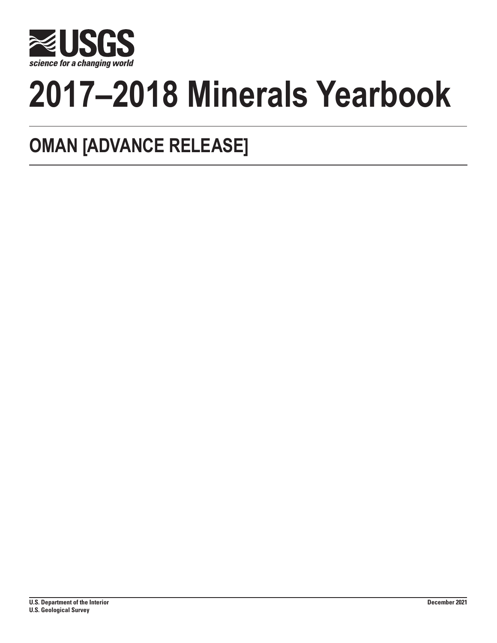

# **2017–2018 Minerals Yearbook**

# **OMAN [ADVANCE RELEASE]**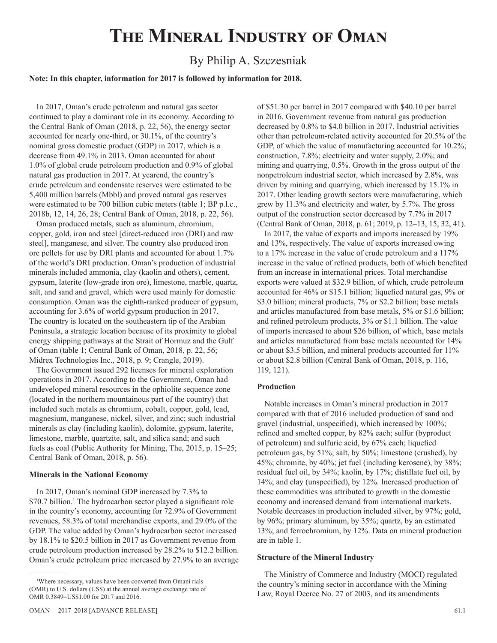## **The Mineral Industry of Oman**

## By Philip A. Szczesniak

#### **Note: In this chapter, information for 2017 is followed by information for 2018.**

In 2017, Oman's crude petroleum and natural gas sector continued to play a dominant role in its economy. According to the Central Bank of Oman (2018, p. 22, 56), the energy sector accounted for nearly one-third, or 30.1%, of the country's nominal gross domestic product (GDP) in 2017, which is a decrease from 49.1% in 2013. Oman accounted for about 1.0% of global crude petroleum production and 0.9% of global natural gas production in 2017. At yearend, the country's crude petroleum and condensate reserves were estimated to be 5,400 million barrels (Mbbl) and proved natural gas reserves were estimated to be 700 billion cubic meters (table 1; BP p.l.c., 2018b, 12, 14, 26, 28; Central Bank of Oman, 2018, p. 22, 56).

Oman produced metals, such as aluminum, chromium, copper, gold, iron and steel [direct-reduced iron (DRI) and raw steel], manganese, and silver. The country also produced iron ore pellets for use by DRI plants and accounted for about 1.7% of the world's DRI production. Oman's production of industrial minerals included ammonia, clay (kaolin and others), cement, gypsum, laterite (low-grade iron ore), limestone, marble, quartz, salt, and sand and gravel, which were used mainly for domestic consumption. Oman was the eighth-ranked producer of gypsum, accounting for 3.6% of world gypsum production in 2017. The country is located on the southeastern tip of the Arabian Peninsula, a strategic location because of its proximity to global energy shipping pathways at the Strait of Hormuz and the Gulf of Oman (table 1; Central Bank of Oman, 2018, p. 22, 56; Midrex Technologies Inc., 2018, p. 9; Crangle, 2019).

The Government issued 292 licenses for mineral exploration operations in 2017. According to the Government, Oman had undeveloped mineral resources in the ophiolite sequence zone (located in the northern mountainous part of the country) that included such metals as chromium, cobalt, copper, gold, lead, magnesium, manganese, nickel, silver, and zinc; such industrial minerals as clay (including kaolin), dolomite, gypsum, laterite, limestone, marble, quartzite, salt, and silica sand; and such fuels as coal (Public Authority for Mining, The, 2015, p. 15–25; Central Bank of Oman, 2018, p. 56).

#### **Minerals in the National Economy**

In 2017, Oman's nominal GDP increased by 7.3% to \$70.7 billion.<sup>1</sup> The hydrocarbon sector played a significant role in the country's economy, accounting for 72.9% of Government revenues, 58.3% of total merchandise exports, and 29.0% of the GDP. The value added by Oman's hydrocarbon sector increased by 18.1% to \$20.5 billion in 2017 as Government revenue from crude petroleum production increased by 28.2% to \$12.2 billion. Oman's crude petroleum price increased by 27.9% to an average of \$51.30 per barrel in 2017 compared with \$40.10 per barrel in 2016. Government revenue from natural gas production decreased by 0.8% to \$4.0 billion in 2017. Industrial activities other than petroleum-related activity accounted for 20.5% of the GDP, of which the value of manufacturing accounted for 10.2%; construction, 7.8%; electricity and water supply, 2.0%; and mining and quarrying, 0.5%. Growth in the gross output of the nonpetroleum industrial sector, which increased by 2.8%, was driven by mining and quarrying, which increased by 15.1% in 2017. Other leading growth sectors were manufacturing, which grew by 11.3% and electricity and water, by 5.7%. The gross output of the construction sector decreased by 7.7% in 2017 (Central Bank of Oman, 2018, p. 61; 2019, p. 12–13, 15, 32, 41).

In 2017, the value of exports and imports increased by 19% and 13%, respectively. The value of exports increased owing to a 17% increase in the value of crude petroleum and a 117% increase in the value of refined products, both of which benefited from an increase in international prices. Total merchandise exports were valued at \$32.9 billion, of which, crude petroleum accounted for 46% or \$15.1 billion; liquefied natural gas, 9% or \$3.0 billion; mineral products, 7% or \$2.2 billion; base metals and articles manufactured from base metals, 5% or \$1.6 billion; and refined petroleum products, 3% or \$1.1 billion. The value of imports increased to about \$26 billion, of which, base metals and articles manufactured from base metals accounted for 14% or about \$3.5 billion, and mineral products accounted for 11% or about \$2.8 billion (Central Bank of Oman, 2018, p. 116, 119, 121).

#### **Production**

Notable increases in Oman's mineral production in 2017 compared with that of 2016 included production of sand and gravel (industrial, unspecified), which increased by 100%; refined and smelted copper, by 82% each; sulfur (byproduct of petroleum) and sulfuric acid, by 67% each; liquefied petroleum gas, by 51%; salt, by 50%; limestone (crushed), by 45%; chromite, by 40%; jet fuel (including kerosene), by 38%; residual fuel oil, by 34%; kaolin, by 17%; distillate fuel oil, by 14%; and clay (unspecified), by 12%. Increased production of these commodities was attributed to growth in the domestic economy and increased demand from international markets. Notable decreases in production included silver, by 97%; gold, by 96%; primary aluminum, by 35%; quartz, by an estimated 13%; and ferrochromium, by 12%. Data on mineral production are in table 1.

#### **Structure of the Mineral Industry**

The Ministry of Commerce and Industry (MOCI) regulated the country's mining sector in accordance with the Mining Law, Royal Decree No. 27 of 2003, and its amendments

<sup>1</sup> Where necessary, values have been converted from Omani rials (OMR) to U.S. dollars (US\$) at the annual average exchange rate of OMR 0.3849=US\$1.00 for 2017 and 2016.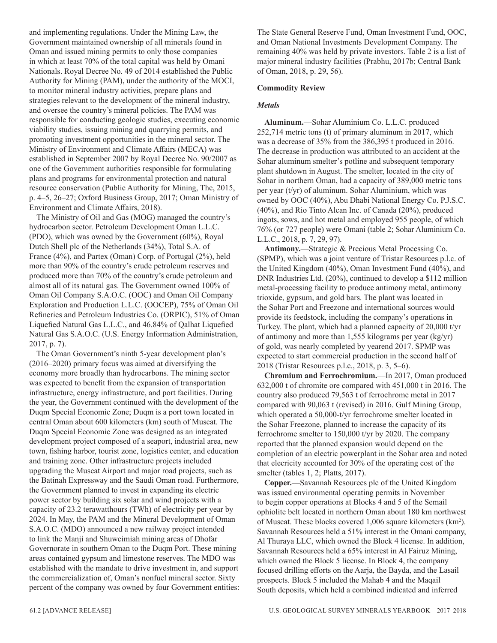and implementing regulations. Under the Mining Law, the Government maintained ownership of all minerals found in Oman and issued mining permits to only those companies in which at least 70% of the total capital was held by Omani Nationals. Royal Decree No. 49 of 2014 established the Public Authority for Mining (PAM), under the authority of the MOCI, to monitor mineral industry activities, prepare plans and strategies relevant to the development of the mineral industry, and oversee the country's mineral policies. The PAM was responsible for conducting geologic studies, executing economic viability studies, issuing mining and quarrying permits, and promoting investment opportunities in the mineral sector. The Ministry of Environment and Climate Affairs (MECA) was established in September 2007 by Royal Decree No. 90/2007 as one of the Government authorities responsible for formulating plans and programs for environmental protection and natural resource conservation (Public Authority for Mining, The, 2015, p. 4–5, 26–27; Oxford Business Group, 2017; Oman Ministry of Environment and Climate Affairs, 2018).

The Ministry of Oil and Gas (MOG) managed the country's hydrocarbon sector. Petroleum Development Oman L.L.C. (PDO), which was owned by the Government (60%), Royal Dutch Shell plc of the Netherlands (34%), Total S.A. of France (4%), and Partex (Oman) Corp. of Portugal (2%), held more than 90% of the country's crude petroleum reserves and produced more than 70% of the country's crude petroleum and almost all of its natural gas. The Government owned 100% of Oman Oil Company S.A.O.C. (OOC) and Oman Oil Company Exploration and Production L.L.C. (OOCEP), 75% of Oman Oil Refineries and Petroleum Industries Co. (ORPIC), 51% of Oman Liquefied Natural Gas L.L.C., and 46.84% of Qalhat Liquefied Natural Gas S.A.O.C. (U.S. Energy Information Administration, 2017, p. 7).

The Oman Government's ninth 5-year development plan's (2016–2020) primary focus was aimed at diversifying the economy more broadly than hydrocarbons. The mining sector was expected to benefit from the expansion of transportation infrastructure, energy infrastructure, and port facilities. During the year, the Government continued with the development of the Duqm Special Economic Zone; Duqm is a port town located in central Oman about 600 kilometers (km) south of Muscat. The Duqm Special Economic Zone was designed as an integrated development project composed of a seaport, industrial area, new town, fishing harbor, tourist zone, logistics center, and education and training zone. Other infrastructure projects included upgrading the Muscat Airport and major road projects, such as the Batinah Expressway and the Saudi Oman road. Furthermore, the Government planned to invest in expanding its electric power sector by building six solar and wind projects with a capacity of 23.2 terawatthours (TWh) of electricity per year by 2024. In May, the PAM and the Mineral Development of Oman S.A.O.C. (MDO) announced a new railway project intended to link the Manji and Shuweimiah mining areas of Dhofar Governorate in southern Oman to the Duqm Port. These mining areas contained gypsum and limestone reserves. The MDO was established with the mandate to drive investment in, and support the commercialization of, Oman's nonfuel mineral sector. Sixty percent of the company was owned by four Government entities:

The State General Reserve Fund, Oman Investment Fund, OOC, and Oman National Investments Development Company. The remaining 40% was held by private investors. Table 2 is a list of major mineral industry facilities (Prabhu, 2017b; Central Bank of Oman, 2018, p. 29, 56).

#### **Commodity Review**

#### *Metals*

**Aluminum.**—Sohar Aluminium Co. L.L.C. produced 252,714 metric tons (t) of primary aluminum in 2017, which was a decrease of 35% from the 386,395 t produced in 2016. The decrease in production was attributed to an accident at the Sohar aluminum smelter's potline and subsequent temporary plant shutdown in August. The smelter, located in the city of Sohar in northern Oman, had a capacity of 389,000 metric tons per year (t/yr) of aluminum. Sohar Aluminium, which was owned by OOC (40%), Abu Dhabi National Energy Co. P.J.S.C. (40%), and Rio Tinto Alcan Inc. of Canada (20%), produced ingots, sows, and hot metal and employed 955 people, of which 76% (or 727 people) were Omani (table 2; Sohar Aluminium Co. L.L.C., 2018, p. 7, 29, 97).

**Antimony.**—Strategic & Precious Metal Processing Co. (SPMP), which was a joint venture of Tristar Resources p.l.c. of the United Kingdom (40%), Oman Investment Fund (40%), and DNR Industries Ltd. (20%), continued to develop a \$112 million metal-processing facility to produce antimony metal, antimony trioxide, gypsum, and gold bars. The plant was located in the Sohar Port and Freezone and international sources would provide its feedstock, including the company's operations in Turkey. The plant, which had a planned capacity of 20,000 t/yr of antimony and more than 1,555 kilograms per year (kg/yr) of gold, was nearly completed by yearend 2017. SPMP was expected to start commercial production in the second half of 2018 (Tristar Resources p.l.c., 2018, p. 3, 5–6).

**Chromium and Ferrochromium.**—In 2017, Oman produced 632,000 t of chromite ore compared with 451,000 t in 2016. The country also produced 79,563 t of ferrochrome metal in 2017 compared with 90,063 t (revised) in 2016. Gulf Mining Group, which operated a 50,000-t/yr ferrochrome smelter located in the Sohar Freezone, planned to increase the capacity of its ferrochrome smelter to 150,000 t/yr by 2020. The company reported that the planned expansion would depend on the completion of an electric powerplant in the Sohar area and noted that elecricity accounted for 30% of the operating cost of the smelter (tables 1, 2; Platts, 2017).

**Copper.**—Savannah Resources plc of the United Kingdom was issued environmental operating permits in November to begin copper operations at Blocks 4 and 5 of the Semail ophiolite belt located in northern Oman about 180 km northwest of Muscat. These blocks covered 1,006 square kilometers (km<sup>2</sup>). Savannah Resources held a 51% interest in the Omani company, Al Thuraya LLC, which owned the Block 4 license. In addition, Savannah Resources held a 65% interest in Al Fairuz Mining, which owned the Block 5 license. In Block 4, the company focused drilling efforts on the Aarja, the Bayda, and the Lasail prospects. Block 5 included the Mahab 4 and the Maqail South deposits, which held a combined indicated and inferred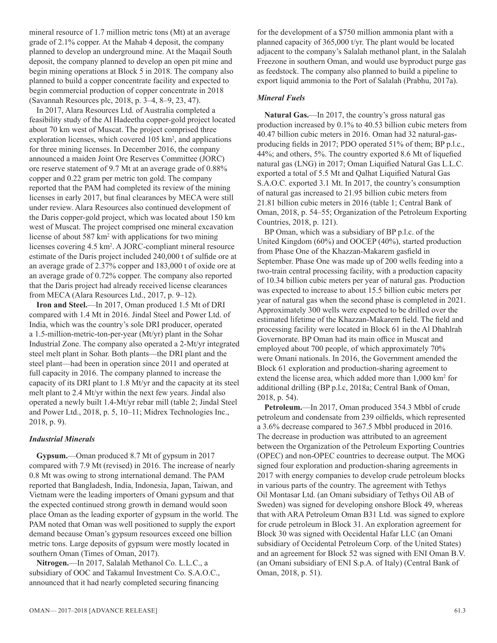mineral resource of 1.7 million metric tons (Mt) at an average grade of 2.1% copper. At the Mahab 4 deposit, the company planned to develop an underground mine. At the Maqail South deposit, the company planned to develop an open pit mine and begin mining operations at Block 5 in 2018. The company also planned to build a copper concentrate facility and expected to begin commercial production of copper concentrate in 2018 (Savannah Resources plc, 2018, p. 3–4, 8–9, 23, 47).

In 2017, Alara Resources Ltd. of Australia completed a feasibility study of the Al Hadeetha copper-gold project located about 70 km west of Muscat. The project comprised three exploration licenses, which covered 105 km<sup>2</sup>, and applications for three mining licenses. In December 2016, the company announced a maiden Joint Ore Reserves Committee (JORC) ore reserve statement of 9.7 Mt at an average grade of 0.88% copper and 0.22 gram per metric ton gold. The company reported that the PAM had completed its review of the mining licenses in early 2017, but final clearances by MECA were still under review. Alara Resources also continued development of the Daris copper-gold project, which was located about 150 km west of Muscat. The project comprised one mineral excavation license of about 587 km<sup>2</sup> with applications for two mining licenses covering 4.5 km2 . A JORC-compliant mineral resource estimate of the Daris project included 240,000 t of sulfide ore at an average grade of 2.37% copper and 183,000 t of oxide ore at an average grade of 0.72% copper. The company also reported that the Daris project had already received license clearances from MECA (Alara Resources Ltd., 2017, p. 9–12).

**Iron and Steel.**—In 2017, Oman produced 1.5 Mt of DRI compared with 1.4 Mt in 2016. Jindal Steel and Power Ltd. of India, which was the country's sole DRI producer, operated a 1.5-million-metric-ton-per-year (Mt/yr) plant in the Sohar Industrial Zone. The company also operated a 2-Mt/yr integrated steel melt plant in Sohar. Both plants—the DRI plant and the steel plant—had been in operation since 2011 and operated at full capacity in 2016. The company planned to increase the capacity of its DRI plant to 1.8 Mt/yr and the capacity at its steel melt plant to 2.4 Mt/yr within the next few years. Jindal also operated a newly built 1.4-Mt/yr rebar mill (table 2; Jindal Steel and Power Ltd., 2018, p. 5, 10–11; Midrex Technologies Inc., 2018, p. 9).

#### *Industrial Minerals*

**Gypsum.**—Oman produced 8.7 Mt of gypsum in 2017 compared with 7.9 Mt (revised) in 2016. The increase of nearly 0.8 Mt was owing to strong international demand. The PAM reported that Bangladesh, India, Indonesia, Japan, Taiwan, and Vietnam were the leading importers of Omani gypsum and that the expected continued strong growth in demand would soon place Oman as the leading exporter of gypsum in the world. The PAM noted that Oman was well positioned to supply the export demand because Oman's gypsum resources exceed one billion metric tons. Large deposits of gypsum were mostly located in southern Oman (Times of Oman, 2017).

**Nitrogen.**—In 2017, Salalah Methanol Co. L.L.C., a subsidiary of OOC and Takamul Investment Co. S.A.O.C., announced that it had nearly completed securing financing

for the development of a \$750 million ammonia plant with a planned capacity of 365,000 t/yr. The plant would be located adjacent to the company's Salalah methanol plant, in the Salalah Freezone in southern Oman, and would use byproduct purge gas as feedstock. The company also planned to build a pipeline to export liquid ammonia to the Port of Salalah (Prabhu, 2017a).

#### *Mineral Fuels*

**Natural Gas.**—In 2017, the country's gross natural gas production increased by 0.1% to 40.53 billion cubic meters from 40.47 billion cubic meters in 2016. Oman had 32 natural-gasproducing fields in 2017; PDO operated 51% of them; BP p.l.c., 44%; and others, 5%. The country exported 8.6 Mt of liquefied natural gas (LNG) in 2017; Oman Liquified Natural Gas L.L.C. exported a total of 5.5 Mt and Qalhat Liquified Natural Gas S.A.O.C. exported 3.1 Mt. In 2017, the country's consumption of natural gas increased to 21.95 billion cubic meters from 21.81 billion cubic meters in 2016 (table 1; Central Bank of Oman, 2018, p. 54–55; Organization of the Petroleum Exporting Countries, 2018, p. 121).

BP Oman, which was a subsidiary of BP p.l.c. of the United Kingdom (60%) and OOCEP (40%), started production from Phase One of the Khazzan-Makarem gasfield in September. Phase One was made up of 200 wells feeding into a two-train central processing facility, with a production capacity of 10.34 billion cubic meters per year of natural gas. Production was expected to increase to about 15.5 billion cubic meters per year of natural gas when the second phase is completed in 2021. Approximately 300 wells were expected to be drilled over the estimated lifetime of the Khazzan-Makarem field. The field and processing facility were located in Block 61 in the Al Dhahlrah Governorate. BP Oman had its main office in Muscat and employed about 700 people, of which approximately 70% were Omani nationals. In 2016, the Government amended the Block 61 exploration and production-sharing agreement to extend the license area, which added more than 1,000 km<sup>2</sup> for additional drilling (BP p.l.c, 2018a; Central Bank of Oman, 2018, p. 54).

**Petroleum.**—In 2017, Oman produced 354.3 Mbbl of crude petroleum and condensate from 239 oilfields, which represented a 3.6% decrease compared to 367.5 Mbbl produced in 2016. The decrease in production was attributed to an agreement between the Organization of the Petroleum Exporting Countries (OPEC) and non-OPEC countries to decrease output. The MOG signed four exploration and production-sharing agreements in 2017 with energy companies to develop crude petroleum blocks in various parts of the country. The agreement with Tethys Oil Montasar Ltd. (an Omani subsidiary of Tethys Oil AB of Sweden) was signed for developing onshore Block 49, whereas that with ARA Petroleum Oman B31 Ltd. was signed to explore for crude petroleum in Block 31. An exploration agreement for Block 30 was signed with Occidental Hafar LLC (an Omani subsidiary of Occidental Petroleum Corp. of the United States) and an agreement for Block 52 was signed with ENI Oman B.V. (an Omani subsidiary of ENI S.p.A. of Italy) (Central Bank of Oman, 2018, p. 51).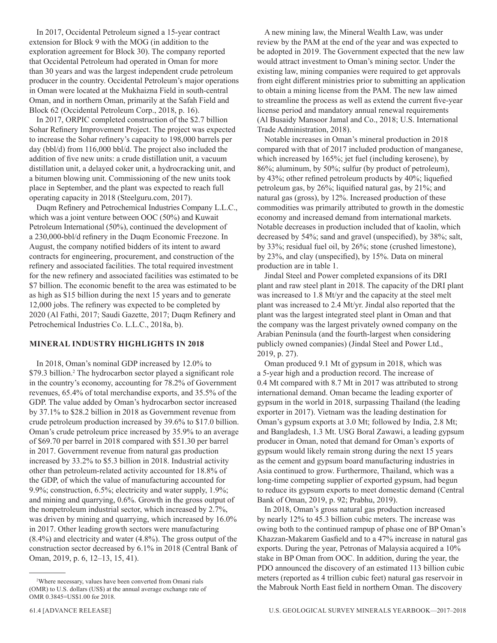In 2017, Occidental Petroleum signed a 15-year contract extension for Block 9 with the MOG (in addition to the exploration agreement for Block 30). The company reported that Occidental Petroleum had operated in Oman for more than 30 years and was the largest independent crude petroleum producer in the country. Occidental Petroleum's major operations in Oman were located at the Mukhaizna Field in south-central Oman, and in northern Oman, primarily at the Safah Field and Block 62 (Occidental Petroleum Corp., 2018, p. 16).

In 2017, ORPIC completed construction of the \$2.7 billion Sohar Refinery Improvement Project. The project was expected to increase the Sohar refinery's capacity to 198,000 barrels per day (bbl/d) from 116,000 bbl/d. The project also included the addition of five new units: a crude distillation unit, a vacuum distillation unit, a delayed coker unit, a hydrocracking unit, and a bitumen blowing unit. Commissioning of the new units took place in September, and the plant was expected to reach full operating capacity in 2018 (Steelguru.com, 2017).

Duqm Refinery and Petrochemical Industries Company L.L.C., which was a joint venture between OOC (50%) and Kuwait Petroleum International (50%), continued the development of a 230,000-bbl/d refinery in the Duqm Economic Freezone. In August, the company notified bidders of its intent to award contracts for engineering, procurement, and construction of the refinery and associated facilities. The total required investment for the new refinery and associated facilities was estimated to be \$7 billion. The economic benefit to the area was estimated to be as high as \$15 billion during the next 15 years and to generate 12,000 jobs. The refinery was expected to be completed by 2020 (Al Fathi, 2017; Saudi Gazette, 2017; Duqm Refinery and Petrochemical Industries Co. L.L.C., 2018a, b).

#### **MINERAL INDUSTRY HIGHLIGHTS IN 2018**

In 2018, Oman's nominal GDP increased by 12.0% to \$79.3 billion.<sup>2</sup> The hydrocarbon sector played a significant role in the country's economy, accounting for 78.2% of Government revenues, 65.4% of total merchandise exports, and 35.5% of the GDP. The value added by Oman's hydrocarbon sector increased by 37.1% to \$28.2 billion in 2018 as Government revenue from crude petroleum production increased by 39.6% to \$17.0 billion. Oman's crude petroleum price increased by 35.9% to an average of \$69.70 per barrel in 2018 compared with \$51.30 per barrel in 2017. Government revenue from natural gas production increased by 33.2% to \$5.3 billion in 2018. Industrial activity other than petroleum-related activity accounted for 18.8% of the GDP, of which the value of manufacturing accounted for 9.9%; construction, 6.5%; electricity and water supply, 1.9%; and mining and quarrying, 0.6%. Growth in the gross output of the nonpetroleum industrial sector, which increased by 2.7%, was driven by mining and quarrying, which increased by 16.0% in 2017. Other leading growth sectors were manufacturing (8.4%) and electricity and water (4.8%). The gross output of the construction sector decreased by 6.1% in 2018 (Central Bank of Oman, 2019, p. 6, 12–13, 15, 41).

A new mining law, the Mineral Wealth Law, was under review by the PAM at the end of the year and was expected to be adopted in 2019. The Government expected that the new law would attract investment to Oman's mining sector. Under the existing law, mining companies were required to get approvals from eight different ministries prior to submitting an application to obtain a mining license from the PAM. The new law aimed to streamline the process as well as extend the current five-year license period and mandatory annual renewal requirements (Al Busaidy Mansoor Jamal and Co., 2018; U.S. International Trade Administration, 2018).

Notable increases in Oman's mineral production in 2018 compared with that of 2017 included production of manganese, which increased by 165%; jet fuel (including kerosene), by 86%; aluminum, by 50%; sulfur (by product of petroleum), by 43%; other refined petroleum products by 40%; liquefied petroleum gas, by 26%; liquified natural gas, by 21%; and natural gas (gross), by 12%. Increased production of these commodities was primarily attributed to growth in the domestic economy and increased demand from international markets. Notable decreases in production included that of kaolin, which decreased by 54%; sand and gravel (unspecified), by 38%; salt, by 33%; residual fuel oil, by 26%; stone (crushed limestone), by 23%, and clay (unspecified), by 15%. Data on mineral production are in table 1.

Jindal Steel and Power completed expansions of its DRI plant and raw steel plant in 2018. The capacity of the DRI plant was increased to 1.8 Mt/yr and the capacity at the steel melt plant was increased to 2.4 Mt/yr. Jindal also reported that the plant was the largest integrated steel plant in Oman and that the company was the largest privately owned company on the Arabian Peninsula (and the fourth-largest when considering publicly owned companies) (Jindal Steel and Power Ltd., 2019, p. 27).

Oman produced 9.1 Mt of gypsum in 2018, which was a 5-year high and a production record. The increase of 0.4 Mt compared with 8.7 Mt in 2017 was attributed to strong international demand. Oman became the leading exporter of gypsum in the world in 2018, surpassing Thailand (the leading exporter in 2017). Vietnam was the leading destination for Oman's gypsum exports at 3.0 Mt; followed by India, 2.8 Mt; and Bangladesh, 1.3 Mt. USG Boral Zawawi, a leading gypsum producer in Oman, noted that demand for Oman's exports of gypsum would likely remain strong during the next 15 years as the cement and gypsum board manufacturing industries in Asia continued to grow. Furthermore, Thailand, which was a long-time competing supplier of exported gypsum, had begun to reduce its gypsum exports to meet domestic demand (Central Bank of Oman, 2019, p. 92; Prabhu, 2019).

In 2018, Oman's gross natural gas production increased by nearly 12% to 45.3 billion cubic meters. The increase was owing both to the continued rampup of phase one of BP Oman's Khazzan-Makarem Gasfield and to a 47% increase in natural gas exports. During the year, Petronas of Malaysia acquired a 10% stake in BP Oman from OOC. In addition, during the year, the PDO announced the discovery of an estimated 113 billion cubic meters (reported as 4 trillion cubic feet) natural gas reservoir in the Mabrouk North East field in northern Oman. The discovery

<sup>2</sup> Where necessary, values have been converted from Omani rials (OMR) to U.S. dollars (US\$) at the annual average exchange rate of OMR 0.3845=US\$1.00 for 2018.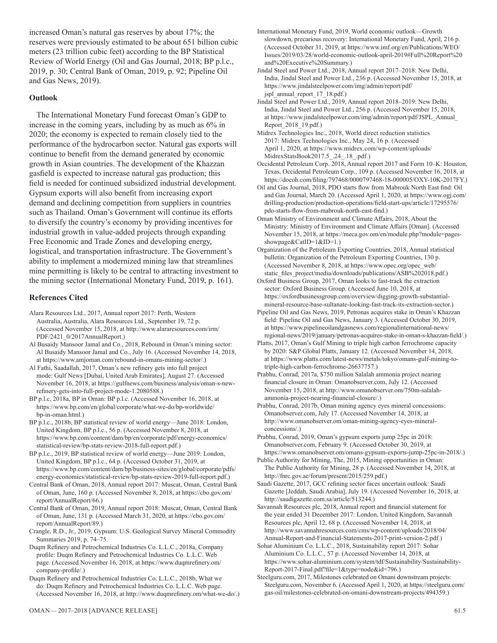increased Oman's natural gas reserves by about 17%; the reserves were previously estimated to be about 651 billion cubic meters (23 trillion cubic feet) according to the BP Statistical Review of World Energy (Oil and Gas Journal, 2018; BP p.l.c., 2019, p. 30; Central Bank of Oman, 2019, p. 92; Pipeline Oil and Gas News, 2019).

#### **Outlook**

The International Monetary Fund forecast Oman's GDP to increase in the coming years, including by as much as 6% in 2020; the economy is expected to remain closely tied to the performance of the hydrocarbon sector. Natural gas exports will continue to benefit from the demand generated by economic growth in Asian countries. The development of the Khazzan gasfield is expected to increase natural gas production; this field is needed for continued subsidized industrial development. Gypsum exports will also benefit from increasing export demand and declining competition from suppliers in countries such as Thailand. Oman's Government will continue its efforts to diversify the country's economy by providing incentives for industrial growth in value-added projects through expanding Free Economic and Trade Zones and developing energy, logistical, and transportation infrastructure. The Government's ability to implement a modernized mining law that streamlines mine permitting is likely to be central to attracting investment to the mining sector (International Monetary Fund, 2019, p. 161).

#### **References Cited**

- Alara Resources Ltd., 2017, Annual report 2017: Perth, Western Australia, Australia, Alara Resources Ltd., September 19, 72 p. (Accessed November 15, 2018, at http://www.alararesources.com/irm/ PDF/2421\_0/2017AnnualReport.)
- Al Busaidy Mansoor Jamal and Co., 2018, Rebound in Oman's mining sector: Al Busaidy Mansoor Jamal and Co., July 16. (Accessed November 14, 2018, at https://www.amjoman.com/rebound-in-omans-mining-sector/.)
- Al Fathi, Saadallah, 2017, Oman's new refinery gets into full project mode: Gulf News [Dubai, United Arab Emirates], August 27. (Accessed November 16, 2018, at https://gulfnews.com/business/analysis/oman-s-newrefinery-gets-into-full-project-mode-1.2080588.)
- BP p.l.c, 2018a, BP in Oman: BP p.l.c. (Accessed November 16, 2018, at https://www.bp.com/en/global/corporate/what-we-do/bp-worldwide/ bp-in-oman.html.)
- BP p.l.c., 2018b, BP statistical review of world energy—June 2018: London, United Kingdom, BP p.l.c., 56 p. (Accessed November 8, 2018, at https://www.bp.com/content/dam/bp/en/corporate/pdf/energy-economics/ statistical-review/bp-stats-review-2018-full-report.pdf.)
- BP p.l.c., 2019, BP statistical review of world energy—June 2019: London, United Kingdom, BP p.l.c., 64 p. (Accessed October 31, 2019, at https://www.bp.com/content/dam/bp/business-sites/en/global/corporate/pdfs/ energy-economics/statistical-review/bp-stats-review-2019-full-report.pdf.)
- Central Bank of Oman, 2018, Annual report 2017: Muscat, Oman, Central Bank of Oman, June, 160 p. (Accessed November 8, 2018, at https://cbo.gov.om/ report/AnnualReport/66.)
- Central Bank of Oman, 2019, Annual report 2018: Muscat, Oman, Central Bank of Oman, June, 131 p. (Accessed March 31, 2020, at https://cbo.gov.om/ report/AnnualReport/89.)
- Crangle, R.D., Jr., 2019, Gypsum: U.S. Geological Survey Mineral Commodity Summaries 2019, p. 74–75.
- Duqm Refinery and Petrochemical Industries Co. L.L.C., 2018a, Company profile: Duqm Refinery and Petrochemical Industries Co. L.L.C. Web page. (Accessed November 16, 2018, at https://www.duqmrefinery.om/ company-profile/.)
- Duqm Refinery and Petrochemical Industries Co. L.L.C., 2018b, What we do: Duqm Refinery and Petrochemical Industries Co. L.L.C. Web page. (Accessed November 16, 2018, at http://www.duqmrefinery.om/what-we-do/.)
- International Monetary Fund, 2019, World economic outlook—Growth slowdown, precarious recovery: International Monetary Fund, April, 216 p. (Accessed October 31, 2019, at https://www.imf.org/en/Publications/WEO/ Issues/2019/03/28/world-economic-outlook-april-2019#Full%20Report%20 and%20Executive%20Summary.)
- Jindal Steel and Power Ltd., 2018, Annual report 2017–2018: New Delhi, India, Jindal Steel and Power Ltd., 236 p. (Accessed November 15, 2018, at https://www.jindalsteelpower.com/img/admin/report/pdf/ jspl\_annual\_report\_17\_18.pdf.)
- Jindal Steel and Power Ltd., 2019, Annual report 2018–2019: New Delhi, India, Jindal Steel and Power Ltd., 256 p. (Accessed November 15, 2018, at https://www.jindalsteelpower.com/img/admin/report/pdf/JSPL\_Annual\_ Report\_2018\_19.pdf.)
- Midrex Technologies Inc., 2018, World direct reduction statistics 2017: Midrex Technologies Inc., May 24, 16 p. (Accessed April 1, 2020, at https://www.midrex.com/wp-content/uploads/ MidrexStatsBook2017.5\_.24\_.18\_.pdf.)
- Occidental Petroleum Corp. 2018, Annual report 2017 and Form 10–K: Houston, Texas, Occidental Petroleum Corp., 109 p. (Accessed November 16, 2018, at https://docoh.com/filing/797468/0000797468-18-000005/OXY-10K-2017FY.)
- Oil and Gas Journal, 2018, PDO starts flow from Mabrouk North East find: Oil and Gas Journal, March 20. (Accessed April 1, 2020, at https://www.ogj.com/ drilling-production/production-operations/field-start-ups/article/17295576/ pdo-starts-flow-from-mabrouk-north-east-find.)
- Oman Ministry of Environment and Climate Affairs, 2018, About the Ministry: Ministry of Environment and Climate Affairs [Oman]. (Accessed November 15, 2018, at https://meca.gov.om/en/module.php?module=pagesshowpage&CatID=1&ID=1.)
- Organization of the Petroleum Exporting Countries, 2018, Annual statistical bulletin: Organization of the Petroleum Exporting Countries, 130 p. (Accessed November 8, 2018, at https://www.opec.org/opec\_web/ static\_files\_project/media/downloads/publications/ASB%202018.pdf.)
- Oxford Business Group, 2017, Oman looks to fast-track the extraction sector: Oxford Business Group. (Accessed June 10, 2018, at https://oxfordbusinessgroup.com/overview/digging-growth-substantialmineral-resource-base-sultanate-looking-fast-track-its-extraction-sector.)
- Pipeline Oil and Gas News, 2019, Petronas acquires stake in Oman's Khazzan field: Pipeline Oil and Gas News, January 3. (Accessed October 30, 2019, at https://www.pipelineoilandgasnews.com/regionalinternational-news/ regional-news/2019/january/petronas-acquires-stake-in-oman-s-khazzan-field/.)
- Platts, 2017, Oman's Gulf Mining to triple high carbon ferrochrome capacity by 2020: S&P Global Platts, January 12. (Accessed November 14, 2018, at https://www.platts.com/latest-news/metals/tokyo/omans-gulf-mining-totriple-high-carbon-ferrochrome-26637757.)
- Prabhu, Conrad, 2017a, \$750 million Salalah ammonia project nearing financial closure in Oman: Omanobserver.com, July 12. (Accessed November 15, 2018, at http://www.omanobserver.om/750m-salalahammonia-project-nearing-financial-closure/.)
- Prabhu, Conrad, 2017b, Oman mining agency eyes mineral concessions: Omanobserver.com, July 17. (Accessed November 14, 2018, at http://www.omanobserver.om/oman-mining-agency-eyes-mineralconcessions/.)
- Prabhu, Conrad, 2019, Oman's gypsum exports jump 25pc in 2018: Omanobserver.com, February 9. (Accessed October 30, 2019, at https://www.omanobserver.om/omans-gypsum-exports-jump-25pc-in-2018/.)
- Public Authority for Mining, The, 2015, Mining opportunities in Oman: The Public Authority for Mining, 28 p. (Accessed November 14, 2018, at http://fnrc.gov.ae/forum/present/2015/259.pdf.)
- Saudi Gazette, 2017, GCC refining sector faces uncertain outlook: Saudi Gazette [Jeddah, Saudi Arabia], July 19. (Accessed November 16, 2018, at http://saudigazette.com.sa/article/513244.)
- Savannah Resources plc, 2018, Annual report and financial statement for the year ended 31 December 2017: London, United Kingdom, Savannah Resources plc, April 12, 68 p. (Accessed November 14, 2018, at http://www.savannahresources.com/cms/wp-content/uploads/2018/04/ Annual-Report-and-Financial-Statements-2017-print-version-2.pdf.)
- Sohar Aluminium Co. L.L.C., 2018, Sustainability report 2017: Sohar Aluminium Co. L.L.C., 57 p. (Accessed November 14, 2018, at https://www.sohar-aluminium.com/system/tdf/Sustainability/Sustainability-Report-2017-Final.pdf?file=1&type=node&id=796.)
- Steelguru.com, 2017, Milestones celebrated on Omani downstream projects: Steelguru.com, November 6. (Accessed April 1, 2020, at https://steelguru.com/ gas-oil/milestones-celebrated-on-omani-downstream-projects/494359.)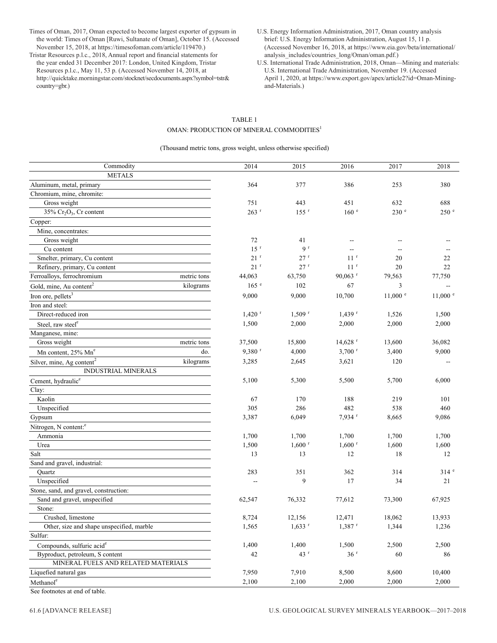Times of Oman, 2017, Oman expected to become largest exporter of gypsum in the world: Times of Oman [Ruwi, Sultanate of Oman], October 15. (Accessed November 15, 2018, at https://timesofoman.com/article/119470.)

Tristar Resources p.l.c., 2018, Annual report and financial statements for the year ended 31 December 2017: London, United Kingdom, Tristar Resources p.l.c., May 11, 53 p. (Accessed November 14, 2018, at http://quicktake.morningstar.com/stocknet/secdocuments.aspx?symbol=tstr& country=gbr.)

- U.S. Energy Information Administration, 2017, Oman country analysis brief: U.S. Energy Information Administration, August 15, 11 p. (Accessed November 16, 2018, at https://www.eia.gov/beta/international/ analysis\_includes/countries\_long/Oman/oman.pdf.)
- U.S. International Trade Administration, 2018, Oman—Mining and materials: U.S. International Trade Administration, November 19. (Accessed April 1, 2020, at https://www.export.gov/apex/article2?id=Oman-Miningand-Materials.)

#### TABLE 1 OMAN: PRODUCTION OF MINERAL COMMODITIES<sup>1</sup>

(Thousand metric tons, gross weight, unless otherwise specified)

| Commodity                                          |             | 2014                 | 2015                 | 2016                     | 2017               | 2018                     |
|----------------------------------------------------|-------------|----------------------|----------------------|--------------------------|--------------------|--------------------------|
| <b>METALS</b>                                      |             |                      |                      |                          |                    |                          |
| Aluminum, metal, primary                           |             | 364                  | 377                  | 386                      | 253                | 380                      |
| Chromium, mine, chromite:                          |             |                      |                      |                          |                    |                          |
| Gross weight                                       |             | 751                  | 443                  | 451                      | 632                | 688                      |
| $35\%$ Cr <sub>2</sub> O <sub>3</sub> , Cr content |             | $263$ <sup>r</sup>   | $155$ <sup>r</sup>   | 160 e                    | 230 <sup>e</sup>   | 250 e                    |
| Copper:                                            |             |                      |                      |                          |                    |                          |
| Mine, concentrates:                                |             |                      |                      |                          |                    |                          |
| Gross weight                                       |             | 72                   | 41                   | --                       | $\overline{a}$     |                          |
| Cu content                                         |             | 15 <sup>r</sup>      | 9 <sup>r</sup>       | $\overline{\phantom{a}}$ | $-$                |                          |
| Smelter, primary, Cu content                       |             | 21 <sup>r</sup>      | 27r                  | 11 <sup>r</sup>          | 20                 | 22                       |
| Refinery, primary, Cu content                      |             | 21 <sup>r</sup>      | 27 r                 | 11 <sup>r</sup>          | 20                 | 22                       |
| Ferroalloys, ferrochromium                         | metric tons | 44,063               | 63,750               | $90,063$ <sup>r</sup>    | 79,563             | 77,750                   |
| Gold, mine, Au content <sup>2</sup>                | kilograms   | $165$ $\degree$      | 102                  | 67                       | 3                  | $\overline{\phantom{a}}$ |
| Iron ore, pellets <sup>3</sup>                     |             | 9,000                | 9,000                | 10,700                   | $11,000$ $\degree$ | $11,000$ $\degree$       |
| Iron and steel:                                    |             |                      |                      |                          |                    |                          |
| Direct-reduced iron                                |             | $1,420$ <sup>r</sup> | $1,509$ <sup>r</sup> | $1,439$ <sup>r</sup>     | 1,526              | 1,500                    |
| Steel, raw steel <sup>e</sup>                      |             | 1,500                | 2,000                | 2,000                    | 2,000              | 2,000                    |
| Manganese, mine:                                   |             |                      |                      |                          |                    |                          |
| Gross weight                                       | metric tons | 37,500               | 15,800               | $14,628$ <sup>r</sup>    | 13,600             | 36,082                   |
| Mn content, 25% Mn°                                | do.         | 9,380 <sup>r</sup>   | 4,000                | $3,700$ <sup>r</sup>     | 3,400              | 9,000                    |
| Silver, mine, Ag content <sup>2</sup>              | kilograms   | 3,285                | 2,645                | 3,621                    | 120                |                          |
| <b>INDUSTRIAL MINERALS</b>                         |             |                      |                      |                          |                    |                          |
| Cement, hydraulic <sup>e</sup>                     |             | 5,100                | 5,300                | 5,500                    | 5,700              | 6,000                    |
| Clay:                                              |             |                      |                      |                          |                    |                          |
| Kaolin                                             |             | 67                   | 170                  | 188                      | 219                | 101                      |
| Unspecified                                        |             | 305                  | 286                  | 482                      | 538                | 460                      |
| Gypsum                                             |             | 3,387                | 6,049                | 7,934 r                  | 8,665              | 9,086                    |
| Nitrogen, N content: <sup>e</sup>                  |             |                      |                      |                          |                    |                          |
| Ammonia                                            |             | 1,700                | 1,700                | 1,700                    | 1,700              | 1,700                    |
| Urea                                               |             | 1,500                | $1,600$ <sup>r</sup> | $1,600$ <sup>r</sup>     | 1,600              | 1,600                    |
| Salt                                               |             | 13                   | 13                   | 12                       | 18                 | 12                       |
| Sand and gravel, industrial:                       |             |                      |                      |                          |                    |                          |
| Quartz                                             |             | 283                  | 351                  | 362                      | 314                | 314e                     |
| Unspecified                                        |             | $-$                  | 9                    | 17                       | 34                 | 21                       |
| Stone, sand, and gravel, construction:             |             |                      |                      |                          |                    |                          |
| Sand and gravel, unspecified                       |             | 62,547               | 76,332               | 77,612                   | 73,300             | 67,925                   |
| Stone:                                             |             |                      |                      |                          |                    |                          |
| Crushed, limestone                                 |             | 8,724                | 12,156               | 12,471                   | 18,062             | 13,933                   |
| Other, size and shape unspecified, marble          |             | 1,565                | $1,633$ <sup>r</sup> | $1,387$ <sup>r</sup>     | 1,344              | 1,236                    |
| Sulfur:                                            |             |                      |                      |                          |                    |                          |
| Compounds, sulfuric acid <sup>e</sup>              |             | 1,400                | 1,400                | 1,500                    | 2,500              | 2,500                    |
| Byproduct, petroleum, S content                    |             | 42                   | 43 <sup>r</sup>      | $36$ $^{\rm r}$          | 60                 | 86                       |
| MINERAL FUELS AND RELATED MATERIALS                |             |                      |                      |                          |                    |                          |
| Liquefied natural gas                              |             | 7,950                | 7,910                | 8,500                    | 8,600              | 10,400                   |
| $\mathbf{Method}^\mathbf{c}$                       |             | 2,100                | 2,100                | 2,000                    | 2,000              | 2,000                    |
|                                                    |             |                      |                      |                          |                    |                          |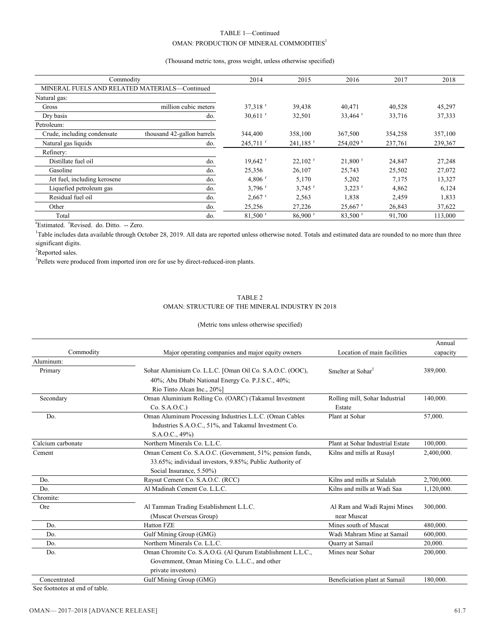#### TABLE 1—Continued OMAN: PRODUCTION OF MINERAL COMMODITIES  $^{\mathrm{l}}$

#### (Thousand metric tons, gross weight, unless otherwise specified)

| Commodity                                     | 2014                       | 2015                   | 2016                   | 2017                   | 2018    |         |
|-----------------------------------------------|----------------------------|------------------------|------------------------|------------------------|---------|---------|
| MINERAL FUELS AND RELATED MATERIALS-Continued |                            |                        |                        |                        |         |         |
| Natural gas:                                  |                            |                        |                        |                        |         |         |
| Gross                                         | million cubic meters       | $37,318$ <sup>r</sup>  | 39,438                 | 40.471                 | 40,528  | 45,297  |
| Dry basis                                     | do.                        | $30,611$ <sup>r</sup>  | 32,501                 | 33,464 $r$             | 33,716  | 37,333  |
| Petroleum:                                    |                            |                        |                        |                        |         |         |
| Crude, including condensate                   | thousand 42-gallon barrels | 344,400                | 358,100                | 367,500                | 354,258 | 357,100 |
| Natural gas liquids                           | do.                        | $245.711$ <sup>r</sup> | $241,185$ <sup>r</sup> | $254,029$ <sup>r</sup> | 237,761 | 239,367 |
| Refinery:                                     |                            |                        |                        |                        |         |         |
| Distillate fuel oil                           | do.                        | $19,642$ <sup>r</sup>  | $22,102$ <sup>r</sup>  | $21,800$ <sup>r</sup>  | 24,847  | 27,248  |
| Gasoline                                      | do.                        | 25,356                 | 26,107                 | 25,743                 | 25,502  | 27,072  |
| Jet fuel, including kerosene                  | do.                        | 4,806 $r$              | 5,170                  | 5,202                  | 7,175   | 13,327  |
| Liquefied petroleum gas                       | do.                        | $3,796$ <sup>r</sup>   | $3,745$ <sup>r</sup>   | $3,223$ <sup>r</sup>   | 4,862   | 6,124   |
| Residual fuel oil                             | do.                        | $2,667$ <sup>r</sup>   | 2,563                  | 1.838                  | 2,459   | 1,833   |
| Other                                         | do.                        | 25,256                 | 27,226                 | $25,667$ <sup>r</sup>  | 26,843  | 37,622  |
| Total                                         | do.                        | $81,500$ <sup>r</sup>  | $86,900$ <sup>r</sup>  | $83,500$ <sup>r</sup>  | 91,700  | 113,000 |

<sup>e</sup>Estimated. <sup>r</sup>Revised. do. Ditto. -- Zero.

<sup>1</sup>Table includes data available through October 28, 2019. All data are reported unless otherwise noted. Totals and estimated data are rounded to no more than three significant digits.

<sup>2</sup>Reported sales.

<sup>3</sup>Pellets were produced from imported iron ore for use by direct-reduced-iron plants.

### TABLE 2

#### OMAN: STRUCTURE OF THE MINERAL INDUSTRY IN 2018

#### (Metric tons unless otherwise specified)

|                   |                                                            |                                  | Annual     |
|-------------------|------------------------------------------------------------|----------------------------------|------------|
| Commodity         | Major operating companies and major equity owners          | Location of main facilities      | capacity   |
| Aluminum:         |                                                            |                                  |            |
| Primary           | Sohar Aluminium Co. L.L.C. [Oman Oil Co. S.A.O.C. (OOC),   | Smelter at Sohar                 | 389,000.   |
|                   | 40%; Abu Dhabi National Energy Co. P.J.S.C., 40%;          |                                  |            |
|                   | Rio Tinto Alcan Inc., 20%]                                 |                                  |            |
| Secondary         | Oman Aluminium Rolling Co. (OARC) (Takamul Investment      | Rolling mill, Sohar Industrial   | 140,000.   |
|                   | Co. S.A.O.C.                                               | Estate                           |            |
| Do.               | Oman Aluminum Processing Industries L.L.C. (Oman Cables    | Plant at Sohar                   | 57,000.    |
|                   | Industries S.A.O.C., 51%, and Takamul Investment Co.       |                                  |            |
|                   | S.A.O.C., 49%)                                             |                                  |            |
| Calcium carbonate | Northern Minerals Co. L.L.C.                               | Plant at Sohar Industrial Estate | 100,000.   |
| Cement            | Oman Cement Co. S.A.O.C. (Government, 51%; pension funds,  | Kilns and mills at Rusayl        | 2.400,000. |
|                   | 33.65%; individual investors, 9.85%; Public Authority of   |                                  |            |
|                   | Social Insurance, 5.50%)                                   |                                  |            |
| Do.               | Raysut Cement Co. S.A.O.C. (RCC)                           | Kilns and mills at Salalah       | 2,700,000. |
| Do.               | Al Madinah Cement Co. L.L.C.                               | Kilns and mills at Wadi Saa      | 1,120,000. |
| Chromite:         |                                                            |                                  |            |
| Ore               | Al Tamman Trading Establishment L.L.C.                     | Al Ram and Wadi Rajmi Mines      | 300,000.   |
|                   | (Muscat Overseas Group)                                    | near Muscat                      |            |
| Do.               | <b>Hatton FZE</b>                                          | Mines south of Muscat            | 480,000.   |
| Do.               | Gulf Mining Group (GMG)                                    | Wadi Mahram Mine at Samail       | 600,000.   |
| Do.               | Northern Minerals Co. L.L.C.                               | Quarry at Samail                 | 20,000.    |
| Do.               | Oman Chromite Co. S.A.O.G. (Al Qurum Establishment L.L.C., | Mines near Sohar                 | 200,000.   |
|                   | Government, Oman Mining Co. L.L.C., and other              |                                  |            |
|                   | private investors)                                         |                                  |            |
| Concentrated      | Gulf Mining Group (GMG)                                    | Beneficiation plant at Samail    | 180,000.   |
|                   |                                                            |                                  |            |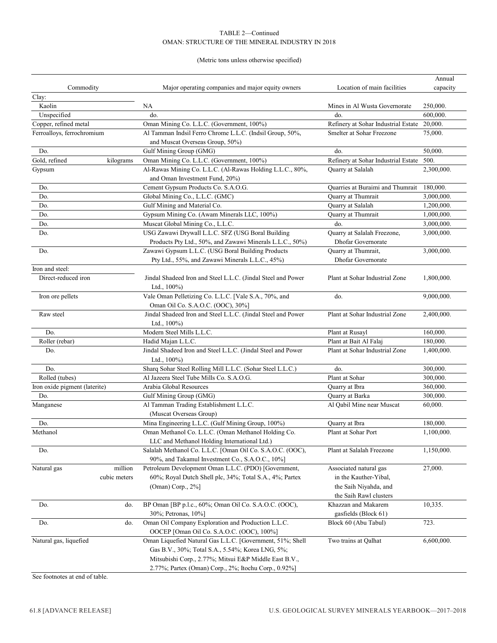#### TABLE 2—Continued OMAN: STRUCTURE OF THE MINERAL INDUSTRY IN 2018

#### (Metric tons unless otherwise specified)

|                               |              |                                                              |                                     | Annual     |
|-------------------------------|--------------|--------------------------------------------------------------|-------------------------------------|------------|
| Commodity                     |              | Major operating companies and major equity owners            | Location of main facilities         | capacity   |
| Clay:                         |              |                                                              |                                     |            |
| Kaolin                        |              | NA                                                           | Mines in Al Wusta Governorate       | 250,000.   |
| Unspecified                   |              | do.                                                          | do.                                 | 600,000.   |
| Copper, refined metal         |              | Oman Mining Co. L.L.C. (Government, 100%)                    | Refinery at Sohar Industrial Estate | 20,000.    |
| Ferroalloys, ferrochromium    |              | Al Tamman Indsil Ferro Chrome L.L.C. (Indsil Group, 50%,     | Smelter at Sohar Freezone           | 75,000.    |
|                               |              | and Muscat Overseas Group, 50%)                              |                                     |            |
| Do.                           |              | Gulf Mining Group (GMG)                                      | do.                                 | 50,000.    |
| Gold, refined                 | kilograms    | Oman Mining Co. L.L.C. (Government, 100%)                    | Refinery at Sohar Industrial Estate | 500.       |
| Gypsum                        |              | Al-Rawas Mining Co. L.L.C. (Al-Rawas Holding L.L.C., 80%,    | Quarry at Salalah                   | 2,300,000. |
|                               |              | and Oman Investment Fund, 20%)                               |                                     |            |
| Do.                           |              | Cement Gypsum Products Co. S.A.O.G.                          | Quarries at Buraimi and Thumrait    | 180,000.   |
| Do.                           |              | Global Mining Co., L.L.C. (GMC)                              | Quarry at Thumrait                  | 3,000,000. |
| Do.                           |              | Gulf Mining and Material Co.                                 | Quarry at Salalah                   | 1,200,000. |
| Do.                           |              | Gypsum Mining Co. (Awam Minerals LLC, 100%)                  | Quarry at Thumrait                  | 1,000,000. |
| Do.                           |              | Muscat Global Mining Co., L.L.C.                             | do.                                 | 3,000,000. |
| Do.                           |              | USG Zawawi Drywall L.L.C. SFZ (USG Boral Building            | Quarry at Salalah Freezone,         | 3,000,000. |
|                               |              | Products Pty Ltd., 50%, and Zawawi Minerals L.L.C., 50%)     | <b>Dhofar Governorate</b>           |            |
| Do.                           |              | Zawawi Gypsum L.L.C. (USG Boral Building Products            | Quarry at Thumrait,                 | 3,000,000. |
|                               |              |                                                              |                                     |            |
|                               |              | Pty Ltd., 55%, and Zawawi Minerals L.L.C., 45%)              | <b>Dhofar Governorate</b>           |            |
| Iron and steel:               |              |                                                              |                                     |            |
| Direct-reduced iron           |              | Jindal Shadeed Iron and Steel L.L.C. (Jindal Steel and Power | Plant at Sohar Industrial Zone      | 1,800,000. |
|                               |              | Ltd., $100\%$ )                                              |                                     |            |
| Iron ore pellets              |              | Vale Oman Pelletizing Co. L.L.C. [Vale S.A., 70%, and        | do.                                 | 9,000,000. |
|                               |              | Oman Oil Co. S.A.O.C. (OOC), 30%]                            |                                     |            |
| Raw steel                     |              | Jindal Shadeed Iron and Steel L.L.C. (Jindal Steel and Power | Plant at Sohar Industrial Zone      | 2,400,000. |
|                               |              | Ltd., $100\%$ )                                              |                                     |            |
| Do.                           |              | Modern Steel Mills L.L.C.                                    | Plant at Rusayl                     | 160,000.   |
| Roller (rebar)                |              | Hadid Majan L.L.C.                                           | Plant at Bait Al Falaj              | 180,000.   |
| Do.                           |              | Jindal Shadeed Iron and Steel L.L.C. (Jindal Steel and Power | Plant at Sohar Industrial Zone      | 1,400,000. |
|                               |              | Ltd., $100\%$ )                                              |                                     |            |
| Do.                           |              | Sharq Sohar Steel Rolling Mill L.L.C. (Sohar Steel L.L.C.)   | do.                                 | 300,000.   |
| Rolled (tubes)                |              | Al Jazeera Steel Tube Mills Co. S.A.O.G.                     | Plant at Sohar                      | 300,000.   |
| Iron oxide pigment (laterite) |              | Arabia Global Resources                                      | Quarry at Ibra                      | 360,000.   |
| Do.                           |              | Gulf Mining Group (GMG)                                      | Quarry at Barka                     | 300,000.   |
| Manganese                     |              | Al Tamman Trading Establishment L.L.C.                       | Al Qabil Mine near Muscat           | 60,000.    |
|                               |              | (Muscat Overseas Group)                                      |                                     |            |
| Do.                           |              | Mina Engineering L.L.C. (Gulf Mining Group, 100%)            | Quarry at Ibra                      | 180,000.   |
| Methanol                      |              | Oman Methanol Co. L.L.C. (Oman Methanol Holding Co.          | Plant at Sohar Port                 | 1,100,000. |
|                               |              | LLC and Methanol Holding International Ltd.)                 |                                     |            |
| Do.                           |              | Salalah Methanol Co. L.L.C. [Oman Oil Co. S.A.O.C. (OOC),    | Plant at Salalah Freezone           | 1,150,000. |
|                               |              | 90%, and Takamul Investment Co., S.A.O.C., 10%]              |                                     |            |
| Natural gas                   | million      | Petroleum Development Oman L.L.C. (PDO) [Government,         | Associated natural gas              | 27,000.    |
|                               | cubic meters | 60%; Royal Dutch Shell plc, 34%; Total S.A., 4%; Partex      | in the Kauther-Yibal,               |            |
|                               |              | $(Omega)$ Corp., $2\%$ ]                                     | the Saih Niyahda, and               |            |
|                               |              |                                                              | the Saih Rawl clusters              |            |
| Do.                           | do.          | BP Oman [BP p.l.c., 60%; Oman Oil Co. S.A.O.C. (OOC),        | Khazzan and Makarem                 | 10,335.    |
|                               |              | 30%; Petronas, 10%]                                          | gasfields (Block 61)                |            |
| Do.                           | do.          | Oman Oil Company Exploration and Production L.L.C.           | Block 60 (Abu Tabul)                | 723.       |
|                               |              | OOCEP [Oman Oil Co. S.A.O.C. (OOC), 100%]                    |                                     |            |
| Natural gas, liquefied        |              | Oman Liquefied Natural Gas L.L.C. [Government, 51%; Shell    | Two trains at Oalhat                | 6,600,000. |
|                               |              | Gas B.V., 30%; Total S.A., 5.54%; Korea LNG, 5%;             |                                     |            |
|                               |              | Mitsubishi Corp., 2.77%; Mitsui E&P Middle East B.V.,        |                                     |            |
|                               |              |                                                              |                                     |            |
|                               |              | 2.77%; Partex (Oman) Corp., 2%; Itochu Corp., 0.92%]         |                                     |            |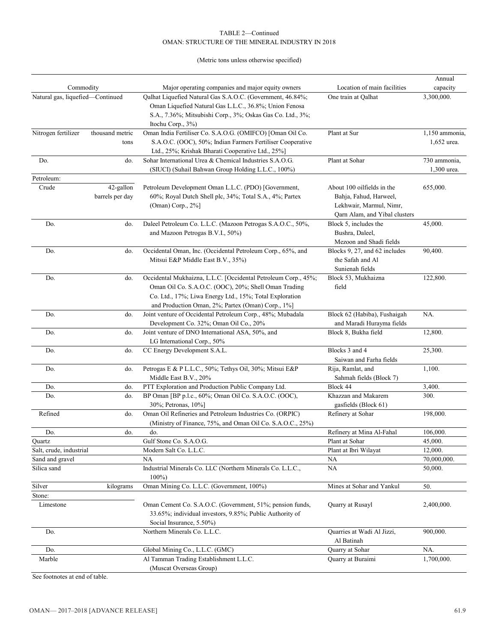#### TABLE 2—Continued OMAN: STRUCTURE OF THE MINERAL INDUSTRY IN 2018

#### (Metric tons unless otherwise specified)

|                                  |                              |                                                                                                                                                                                                                                        |                                                                                                                  | Annual                        |
|----------------------------------|------------------------------|----------------------------------------------------------------------------------------------------------------------------------------------------------------------------------------------------------------------------------------|------------------------------------------------------------------------------------------------------------------|-------------------------------|
| Commodity                        |                              | Major operating companies and major equity owners                                                                                                                                                                                      | Location of main facilities                                                                                      | capacity                      |
| Natural gas, liquefied-Continued |                              | Qalhat Liquefied Natural Gas S.A.O.C. (Government, 46.84%;<br>Oman Liquefied Natural Gas L.L.C., 36.8%; Union Fenosa<br>S.A., 7.36%; Mitsubishi Corp., 3%; Oskas Gas Co. Ltd., 3%;                                                     | One train at Qalhat                                                                                              | 3,300,000.                    |
| Nitrogen fertilizer              | thousand metric<br>tons      | Itochu Corp., 3%)<br>Oman India Fertiliser Co. S.A.O.G. (OMIFCO) [Oman Oil Co.<br>S.A.O.C. (OOC), 50%; Indian Farmers Fertiliser Cooperative                                                                                           | Plant at Sur                                                                                                     | 1,150 ammonia,<br>1,652 urea. |
| Do.                              | do.                          | Ltd., 25%; Krishak Bharati Cooperative Ltd., 25%]<br>Sohar International Urea & Chemical Industries S.A.O.G.<br>(SIUCI) (Suhail Bahwan Group Holding L.L.C., 100%)                                                                     | Plant at Sohar                                                                                                   | 730 ammonia.<br>1,300 urea.   |
| Petroleum:                       |                              |                                                                                                                                                                                                                                        |                                                                                                                  |                               |
| Crude                            | 42-gallon<br>barrels per day | Petroleum Development Oman L.L.C. (PDO) [Government,<br>60%; Royal Dutch Shell plc, 34%; Total S.A., 4%; Partex<br>(Oman) Corp., 2%]                                                                                                   | About 100 oilfields in the<br>Bahja, Fahud, Harweel,<br>Lekhwair, Marmul, Nimr,<br>Qarn Alam, and Yibal clusters | 655,000.                      |
| Do.                              | do.                          | Daleel Petroleum Co. L.L.C. (Mazoon Petrogas S.A.O.C., 50%,<br>and Mazoon Petrogas B.V.I., 50%)                                                                                                                                        | Block 5, includes the<br>Bushra, Daleel,<br>Mezoon and Shadi fields                                              | 45,000.                       |
| Do.                              | do.                          | Occidental Oman, Inc. (Occidental Petroleum Corp., 65%, and<br>Mitsui E&P Middle East B.V., 35%)                                                                                                                                       | Blocks 9, 27, and 62 includes<br>the Safah and Al<br>Sunienah fields                                             | 90,400.                       |
| Do.                              | do.                          | Occidental Mukhaizna, L.L.C. [Occidental Petroleum Corp., 45%;<br>Oman Oil Co. S.A.O.C. (OOC), 20%; Shell Oman Trading<br>Co. Ltd., 17%; Liwa Energy Ltd., 15%; Total Exploration<br>and Production Oman, 2%; Partex (Oman) Corp., 1%] | Block 53, Mukhaizna<br>field                                                                                     | 122,800.                      |
| Do.                              | do.                          | Joint venture of Occidental Petroleum Corp., 48%; Mubadala<br>Development Co. 32%; Oman Oil Co., 20%                                                                                                                                   | Block 62 (Habiba), Fushaigah<br>and Maradi Hurayma fields                                                        | NA.                           |
| Do.                              | do.                          | Joint venture of DNO International ASA, 50%, and<br>LG International Corp., 50%                                                                                                                                                        | Block 8, Bukha field                                                                                             | 12,800.                       |
| Do.                              | do.                          | CC Energy Development S.A.L.                                                                                                                                                                                                           | Blocks 3 and 4<br>Saiwan and Farha fields                                                                        | 25,300.                       |
| Do.                              | do.                          | Petrogas E & P L.L.C., 50%; Tethys Oil, 30%; Mitsui E&P<br>Middle East B.V., 20%                                                                                                                                                       | Rija, Ramlat, and<br>Sahmah fields (Block 7)                                                                     | 1,100.                        |
| Do.                              | do.                          | PTT Exploration and Production Public Company Ltd.                                                                                                                                                                                     | Block 44                                                                                                         | 3,400.                        |
| Do.                              | do.                          | BP Oman [BP p.l.c., 60%; Oman Oil Co. S.A.O.C. (OOC),<br>30%; Petronas, 10%]                                                                                                                                                           | Khazzan and Makarem<br>gasfields (Block 61)                                                                      | 300.                          |
| Refined                          | do.                          | Oman Oil Refineries and Petroleum Industries Co. (ORPIC)<br>(Ministry of Finance, 75%, and Oman Oil Co. S.A.O.C., 25%)                                                                                                                 | Refinery at Sohar                                                                                                | 198,000.                      |
| Do.                              | do.                          | do.                                                                                                                                                                                                                                    | Refinery at Mina Al-Fahal                                                                                        | 106,000.                      |
| Ouartz                           |                              | Gulf Stone Co. S.A.O.G.                                                                                                                                                                                                                | Plant at Sohar                                                                                                   | 45,000.                       |
| Salt, crude, industrial          |                              | Modern Salt Co. L.L.C.                                                                                                                                                                                                                 | Plant at Ibri Wilayat                                                                                            | 12,000.                       |
| Sand and gravel                  |                              | NA                                                                                                                                                                                                                                     | NA.                                                                                                              | 70,000,000.                   |
| Silica sand                      |                              | Industrial Minerals Co. LLC (Northern Minerals Co. L.L.C.,<br>$100\%$                                                                                                                                                                  | <b>NA</b>                                                                                                        | 50,000.                       |
| Silver<br>Stone:                 | kilograms                    | Oman Mining Co. L.L.C. (Government, 100%)                                                                                                                                                                                              | Mines at Sohar and Yankul                                                                                        | 50.                           |
| Limestone                        |                              | Oman Cement Co. S.A.O.C. (Government, 51%; pension funds,<br>33.65%; individual investors, 9.85%; Public Authority of<br>Social Insurance, 5.50%)                                                                                      | Quarry at Rusayl                                                                                                 | 2,400,000.                    |
| Do.                              |                              | Northern Minerals Co. L.L.C.                                                                                                                                                                                                           | Quarries at Wadi Al Jizzi,<br>Al Batinah                                                                         | 900,000.                      |
| Do.                              |                              | Global Mining Co., L.L.C. (GMC)                                                                                                                                                                                                        | Quarry at Sohar                                                                                                  | NA.                           |
| Marble                           |                              | Al Tamman Trading Establishment L.L.C.<br>(Muscat Overseas Group)                                                                                                                                                                      | Quarry at Buraimi                                                                                                | 1,700,000.                    |